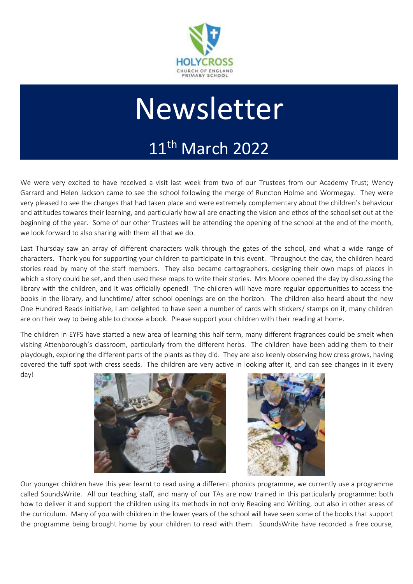

# Newsletter

## 11th March 2022

We were very excited to have received a visit last week from two of our Trustees from our Academy Trust; Wendy Garrard and Helen Jackson came to see the school following the merge of Runcton Holme and Wormegay. They were very pleased to see the changes that had taken place and were extremely complementary about the children's behaviour and attitudes towards their learning, and particularly how all are enacting the vision and ethos of the school set out at the beginning of the year. Some of our other Trustees will be attending the opening of the school at the end of the month, we look forward to also sharing with them all that we do.

Last Thursday saw an array of different characters walk through the gates of the school, and what a wide range of characters. Thank you for supporting your children to participate in this event. Throughout the day, the children heard stories read by many of the staff members. They also became cartographers, designing their own maps of places in which a story could be set, and then used these maps to write their stories. Mrs Moore opened the day by discussing the library with the children, and it was officially opened! The children will have more regular opportunities to access the books in the library, and lunchtime/ after school openings are on the horizon. The children also heard about the new One Hundred Reads initiative, I am delighted to have seen a number of cards with stickers/ stamps on it, many children are on their way to being able to choose a book. Please support your children with their reading at home.

The children in EYFS have started a new area of learning this half term, many different fragrances could be smelt when visiting Attenborough's classroom, particularly from the different herbs. The children have been adding them to their playdough, exploring the different parts of the plants as they did. They are also keenly observing how cress grows, having covered the tuff spot with cress seeds. The children are very active in looking after it, and can see changes in it every day!





Our younger children have this year learnt to read using a different phonics programme, we currently use a programme called SoundsWrite. All our teaching staff, and many of our TAs are now trained in this particularly programme: both how to deliver it and support the children using its methods in not only Reading and Writing, but also in other areas of the curriculum. Many of you with children in the lower years of the school will have seen some of the books that support the programme being brought home by your children to read with them. SoundsWrite have recorded a free course,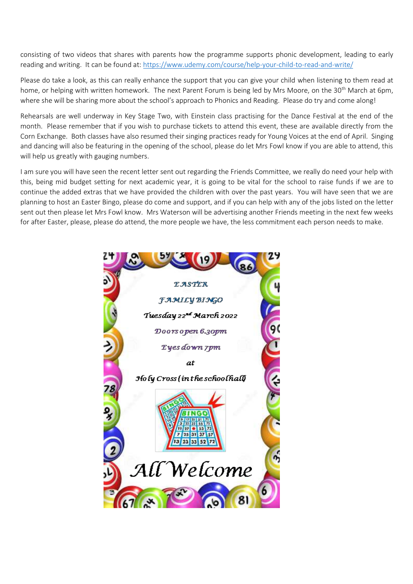consisting of two videos that shares with parents how the programme supports phonic development, leading to early reading and writing. It can be found at:<https://www.udemy.com/course/help-your-child-to-read-and-write/>

Please do take a look, as this can really enhance the support that you can give your child when listening to them read at home, or helping with written homework. The next Parent Forum is being led by Mrs Moore, on the 30<sup>th</sup> March at 6pm, where she will be sharing more about the school's approach to Phonics and Reading. Please do try and come along!

Rehearsals are well underway in Key Stage Two, with Einstein class practising for the Dance Festival at the end of the month. Please remember that if you wish to purchase tickets to attend this event, these are available directly from the Corn Exchange. Both classes have also resumed their singing practices ready for Young Voices at the end of April. Singing and dancing will also be featuring in the opening of the school, please do let Mrs Fowl know if you are able to attend, this will help us greatly with gauging numbers.

I am sure you will have seen the recent letter sent out regarding the Friends Committee, we really do need your help with this, being mid budget setting for next academic year, it is going to be vital for the school to raise funds if we are to continue the added extras that we have provided the children with over the past years. You will have seen that we are planning to host an Easter Bingo, please do come and support, and if you can help with any of the jobs listed on the letter sent out then please let Mrs Fowl know. Mrs Waterson will be advertising another Friends meeting in the next few weeks for after Easter, please, please do attend, the more people we have, the less commitment each person needs to make.